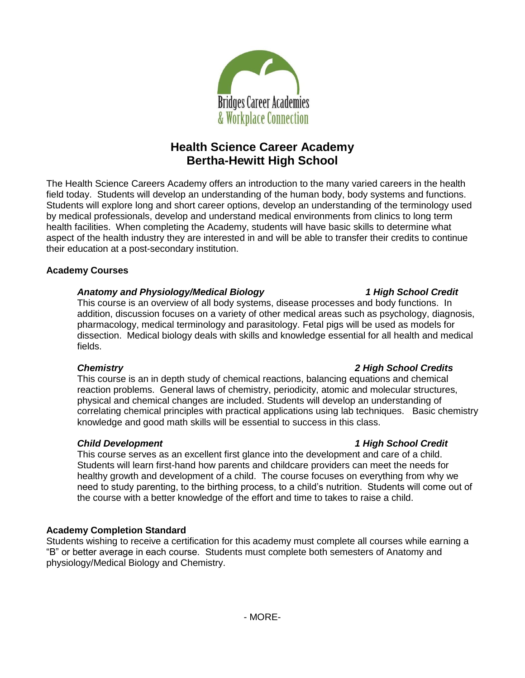

# **Health Science Career Academy Bertha-Hewitt High School**

The Health Science Careers Academy offers an introduction to the many varied careers in the health field today. Students will develop an understanding of the human body, body systems and functions. Students will explore long and short career options, develop an understanding of the terminology used by medical professionals, develop and understand medical environments from clinics to long term health facilities. When completing the Academy, students will have basic skills to determine what aspect of the health industry they are interested in and will be able to transfer their credits to continue their education at a post-secondary institution.

# **Academy Courses**

# *Anatomy and Physiology/Medical Biology 1 High School Credit*

This course is an overview of all body systems, disease processes and body functions. In addition, discussion focuses on a variety of other medical areas such as psychology, diagnosis, pharmacology, medical terminology and parasitology. Fetal pigs will be used as models for dissection. Medical biology deals with skills and knowledge essential for all health and medical fields.

### *Chemistry 2 High School Credits*

This course is an in depth study of chemical reactions, balancing equations and chemical reaction problems. General laws of chemistry, periodicity, atomic and molecular structures, physical and chemical changes are included. Students will develop an understanding of correlating chemical principles with practical applications using lab techniques. Basic chemistry knowledge and good math skills will be essential to success in this class.

This course serves as an excellent first glance into the development and care of a child. Students will learn first-hand how parents and childcare providers can meet the needs for healthy growth and development of a child. The course focuses on everything from why we need to study parenting, to the birthing process, to a child's nutrition. Students will come out of the course with a better knowledge of the effort and time to takes to raise a child.

# **Academy Completion Standard**

Students wishing to receive a certification for this academy must complete all courses while earning a "B" or better average in each course. Students must complete both semesters of Anatomy and physiology/Medical Biology and Chemistry.

### *Child Development 1 High School Credit*